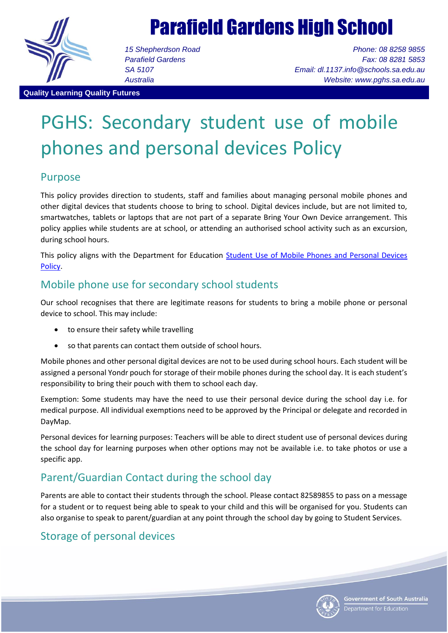

# Parafield Gardens High School

*15 Shepherdson Road Parafield Gardens SA 5107 Australia*

*Phone: 08 8258 9855 Fax: 08 8281 5853 Email: dl.1137.info@schools.sa.edu.au Website: www.pghs.sa.edu.au*

#### **Quality Learning Quality Futures**

# PGHS: Secondary student use of mobile phones and personal devices Policy

## Purpose

This policy provides direction to students, staff and families about managing personal mobile phones and other digital devices that students choose to bring to school. Digital devices include, but are not limited to, smartwatches, tablets or laptops that are not part of a separate Bring Your Own Device arrangement. This policy applies while students are at school, or attending an authorised school activity such as an excursion, during school hours.

This policy aligns with the Department for Education Student Use of Mobile Phones and Personal Devices [Policy.](https://www.google.com/url?q=https://edi.sa.edu.au/library/document-library/controlled-policies/student-use-of-mobile-phones-and-personal-devices-policy&sa=D&source=editors&ust=1623123585679000&usg=AFQjCNEUeiqMaAYJgYJE-Wq4hnpCWUsOHA)

## Mobile phone use for secondary school students

Our school recognises that there are legitimate reasons for students to bring a mobile phone or personal device to school. This may include:

- to ensure their safety while travelling
- so that parents can contact them outside of school hours.

Mobile phones and other personal digital devices are not to be used during school hours. Each student will be assigned a personal Yondr pouch for storage of their mobile phones during the school day. It is each student's responsibility to bring their pouch with them to school each day.

Exemption: Some students may have the need to use their personal device during the school day i.e. for medical purpose. All individual exemptions need to be approved by the Principal or delegate and recorded in DayMap.

Personal devices for learning purposes: Teachers will be able to direct student use of personal devices during the school day for learning purposes when other options may not be available i.e. to take photos or use a specific app.

# Parent/Guardian Contact during the school day

Parents are able to contact their students through the school. Please contact 82589855 to pass on a message for a student or to request being able to speak to your child and this will be organised for you. Students can also organise to speak to parent/guardian at any point through the school day by going to Student Services.

# Storage of personal devices

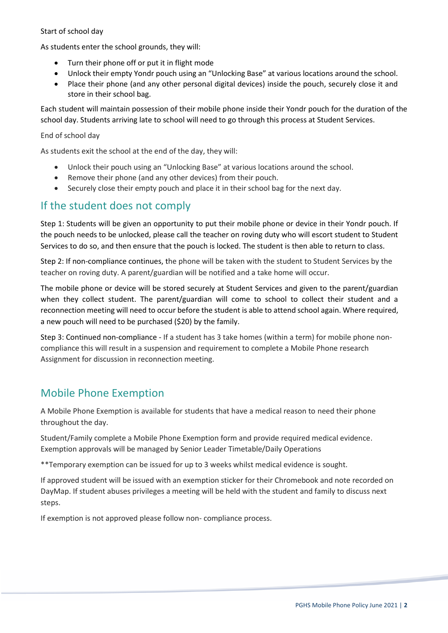### Start of school day

As students enter the school grounds, they will:

- Turn their phone off or put it in flight mode
- Unlock their empty Yondr pouch using an "Unlocking Base" at various locations around the school.
- Place their phone (and any other personal digital devices) inside the pouch, securely close it and store in their school bag.

Each student will maintain possession of their mobile phone inside their Yondr pouch for the duration of the school day. Students arriving late to school will need to go through this process at Student Services.

#### End of school day

As students exit the school at the end of the day, they will:

- Unlock their pouch using an "Unlocking Base" at various locations around the school.
- Remove their phone (and any other devices) from their pouch.
- Securely close their empty pouch and place it in their school bag for the next day.

## If the student does not comply

Step 1: Students will be given an opportunity to put their mobile phone or device in their Yondr pouch. If the pouch needs to be unlocked, please call the teacher on roving duty who will escort student to Student Services to do so, and then ensure that the pouch is locked. The student is then able to return to class.

Step 2: If non-compliance continues, the phone will be taken with the student to Student Services by the teacher on roving duty. A parent/guardian will be notified and a take home will occur.

The mobile phone or device will be stored securely at Student Services and given to the parent/guardian when they collect student. The parent/guardian will come to school to collect their student and a reconnection meeting will need to occur before the student is able to attend school again. Where required, a new pouch will need to be purchased (\$20) by the family.

Step 3: Continued non-compliance - If a student has 3 take homes (within a term) for mobile phone noncompliance this will result in a suspension and requirement to complete a Mobile Phone research Assignment for discussion in reconnection meeting.

## Mobile Phone Exemption

A Mobile Phone Exemption is available for students that have a medical reason to need their phone throughout the day.

Student/Family complete a Mobile Phone Exemption form and provide required medical evidence. Exemption approvals will be managed by Senior Leader Timetable/Daily Operations

\*\*Temporary exemption can be issued for up to 3 weeks whilst medical evidence is sought.

If approved student will be issued with an exemption sticker for their Chromebook and note recorded on DayMap. If student abuses privileges a meeting will be held with the student and family to discuss next steps.

If exemption is not approved please follow non- compliance process.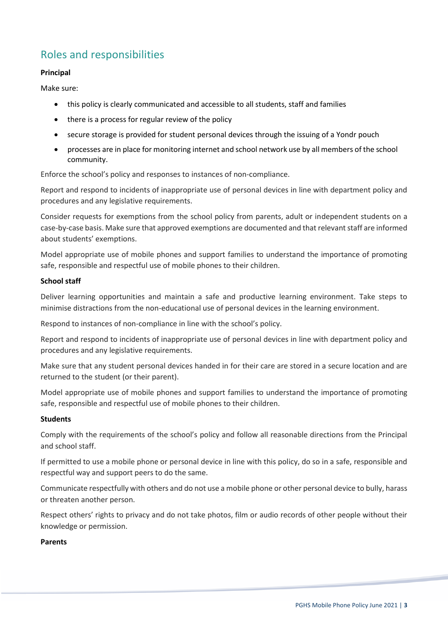# Roles and responsibilities

### **Principal**

Make sure:

- this policy is clearly communicated and accessible to all students, staff and families
- there is a process for regular review of the policy
- secure storage is provided for student personal devices through the issuing of a Yondr pouch
- processes are in place for monitoring internet and school network use by all members of the school community.

Enforce the school's policy and responses to instances of non-compliance.

Report and respond to incidents of inappropriate use of personal devices in line with department policy and procedures and any legislative requirements.

Consider requests for exemptions from the school policy from parents, adult or independent students on a case-by-case basis. Make sure that approved exemptions are documented and that relevant staff are informed about students' exemptions.

Model appropriate use of mobile phones and support families to understand the importance of promoting safe, responsible and respectful use of mobile phones to their children.

#### **School staff**

Deliver learning opportunities and maintain a safe and productive learning environment. Take steps to minimise distractions from the non-educational use of personal devices in the learning environment.

Respond to instances of non-compliance in line with the school's policy.

Report and respond to incidents of inappropriate use of personal devices in line with department policy and procedures and any legislative requirements.

Make sure that any student personal devices handed in for their care are stored in a secure location and are returned to the student (or their parent).

Model appropriate use of mobile phones and support families to understand the importance of promoting safe, responsible and respectful use of mobile phones to their children.

#### **Students**

Comply with the requirements of the school's policy and follow all reasonable directions from the Principal and school staff.

If permitted to use a mobile phone or personal device in line with this policy, do so in a safe, responsible and respectful way and support peers to do the same.

Communicate respectfully with others and do not use a mobile phone or other personal device to bully, harass or threaten another person.

Respect others' rights to privacy and do not take photos, film or audio records of other people without their knowledge or permission.

#### **Parents**